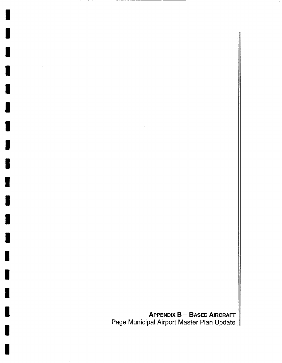Appendix B - Based Aircraft Page Municipal Airport Master Plan Update

I

I

I

I

I

I

I

I

I

I

I

**i** 

I

I

I

I

I

I

I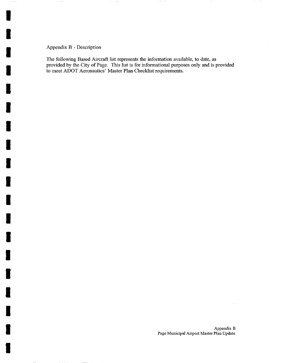## Appendix B - Description

i

E

I

I

I

I

I

I

I

I

I

I

I

I

i

I

I

I

I

The following Based Aircraft list represents the information available, to date, as provided by the City of Page. This list is for informational purposes only and is provided to meet ADOT Aeronautics' Master Plan Checklist requirements.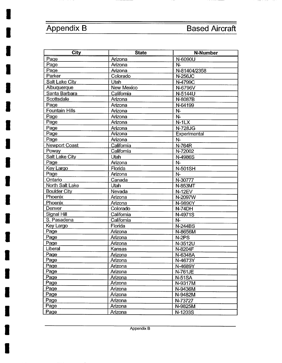**I** 

**I** 

**I** 

**I** 

**I** 

**I** 

**I** 

**I** 

**I** 

**I** 

**I** 

**I** 

**I** 

**I** 

**I** 

**I** 

- --

| <b>City</b>           | <b>State</b>      | <b>N-Number</b> |
|-----------------------|-------------------|-----------------|
| Page                  | Arizona           | N-6090U         |
| Page                  | Arizona           | $N-$            |
| Page                  | Arizona           | N-81404/2358    |
| Parker                | Colorado          | <b>N-256JC</b>  |
| Salt Lake City        | Utah              | N-4799C         |
| Albuquerque           | <b>New Mexico</b> | N-6796V         |
| Santa Barbara         | California        | N-5144U         |
| Scottsdale            | Arizona           | N-8087B         |
| Page                  | Arizona           | N-64199         |
| <b>Fountain Hills</b> | Arizona           | $N-$            |
| Page                  | Arizona           | $N -$           |
| Page                  | Arizona           | $N-1LX$         |
| Page                  | Arizona           | <b>N-728JG</b>  |
| Page                  | Arizona           | Experimental    |
| Page                  | Arizona           | $N-$            |
| Newport Coast         | California        | N-764R          |
| Poway                 | California        | N-72002         |
| Salt Lake City        | Utah              | N-4986S         |
| Page                  | Arizona           | $N-$            |
| Key Largo             | Florida           | <b>N-501SH</b>  |
| Page                  | Arizona           | $N-$            |
| Ontario               | Canada            | N-30777         |
| North Salt Lake       | Utah              | N-853MT         |
| <b>Boulder City</b>   | Nevada            | <b>N-12EV</b>   |
| Phoenix               | Arizona           | N-2097W         |
| Phoenix               | Arizona           | N-9890Y         |
| Denver                | Colorado          | N-74DH          |
| Signal Hill           | California        | N-4971S         |
| S. Pasadena           | California        | N-              |
| Key Largo             | Florida           | <b>N-244BS</b>  |
| Page                  | Arizona           | N-8656M         |
| Page                  | Arizona           | N-2PS           |
| Page                  | Arizona           | N-3512U         |
| Liberal               | Kansas            | N-8204F         |
| Page                  | Arizona           | N-6348A         |
| Page                  | Arizona           | N-4673Y         |
| Page                  | Arizona           | N-4689Y         |
| Page                  | Arizona           | N-761JE         |
| Page                  | Arizona           | <b>N-51SA</b>   |
| Page                  | Arizona           | N-9317M         |
| Page                  | Arizona           | N-9436M         |
| Page                  | Arizona           | N-9482M         |
| Page                  | Arizona           | N-73727         |
| Page                  | Arizona           | N-9825M         |
| Page                  | Arizona           | N-1203S         |